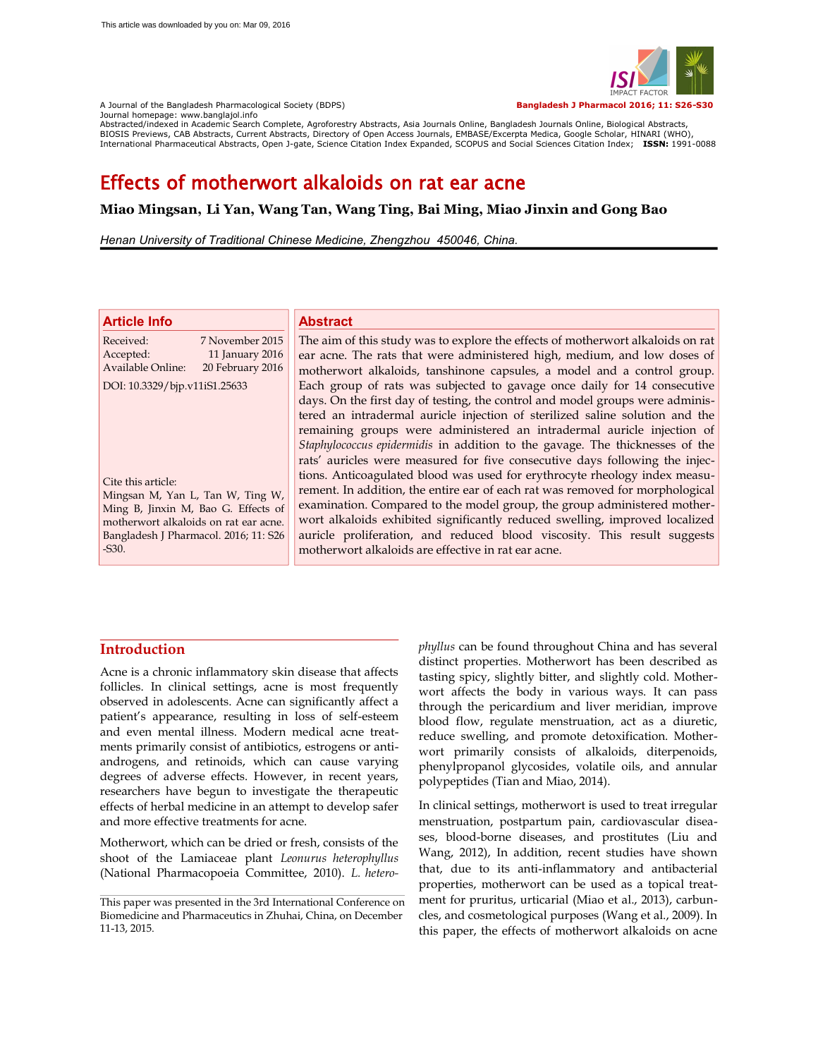

Journal homepage: www.banglajol.info<br>Abstracted/indexed in Academic Search Complete, Agroforestry Abstracts, Asia Journals Online, Bangladesh Journals Online, Biological Abstracts, BIOSIS Previews, CAB Abstracts, Current Abstracts, Directory of Open Access Journals, EMBASE/Excerpta Medica, Google Scholar, HINARI (WHO), International Pharmaceutical Abstracts, Open J-gate, Science Citation Index Expanded, SCOPUS and Social Sciences Citation Index; **ISSN:** 1991-0088

# Effects of motherwort alkaloids on rat ear acne

**Miao Mingsan, Li Yan, Wang Tan, Wang Ting, Bai Ming, Miao Jinxin and Gong Bao** 

*Henan University of Traditional Chinese Medicine, Zhengzhou 450046, China.*

| <b>Article Info</b>                                                                                                                                                                        | <b>Abstract</b>                                                                                                                                                                                                                                                                                                                                                                                                                                                                    |
|--------------------------------------------------------------------------------------------------------------------------------------------------------------------------------------------|------------------------------------------------------------------------------------------------------------------------------------------------------------------------------------------------------------------------------------------------------------------------------------------------------------------------------------------------------------------------------------------------------------------------------------------------------------------------------------|
| 7 November 2015<br>Received:<br>11 January 2016<br>Accepted:<br>Available Online:<br>20 February 2016                                                                                      | The aim of this study was to explore the effects of motherwort alkaloids on rat<br>ear acne. The rats that were administered high, medium, and low doses of<br>motherwort alkaloids, tanshinone capsules, a model and a control group.                                                                                                                                                                                                                                             |
| DOI: 10.3329/bjp.v11iS1.25633                                                                                                                                                              | Each group of rats was subjected to gavage once daily for 14 consecutive<br>days. On the first day of testing, the control and model groups were adminis-<br>tered an intradermal auricle injection of sterilized saline solution and the<br>remaining groups were administered an intradermal auricle injection of<br>Staphylococcus epidermidis in addition to the gavage. The thicknesses of the<br>rats' auricles were measured for five consecutive days following the injec- |
| Cite this article:<br>Mingsan M, Yan L, Tan W, Ting W,<br>Ming B, Jinxin M, Bao G. Effects of<br>motherwort alkaloids on rat ear acne.<br>Bangladesh J Pharmacol. 2016; 11: S26<br>$-S30.$ | tions. Anticoagulated blood was used for erythrocyte rheology index measu-<br>rement. In addition, the entire ear of each rat was removed for morphological<br>examination. Compared to the model group, the group administered mother-<br>wort alkaloids exhibited significantly reduced swelling, improved localized<br>auricle proliferation, and reduced blood viscosity. This result suggests<br>motherwort alkaloids are effective in rat ear acne.                          |

### **Introduction**

Acne is a chronic inflammatory skin disease that affects follicles. In clinical settings, acne is most frequently observed in adolescents. Acne can significantly affect a patient's appearance, resulting in loss of self-esteem and even mental illness. Modern medical acne treatments primarily consist of antibiotics, estrogens or antiandrogens, and retinoids, which can cause varying degrees of adverse effects. However, in recent years, researchers have begun to investigate the therapeutic effects of herbal medicine in an attempt to develop safer and more effective treatments for acne.

Motherwort, which can be dried or fresh, consists of the shoot of the Lamiaceae plant *Leonurus heterophyllus* (National Pharmacopoeia Committee, 2010). *L. hetero-* *phyllus* can be found throughout China and has several distinct properties. Motherwort has been described as tasting spicy, slightly bitter, and slightly cold. Motherwort affects the body in various ways. It can pass through the pericardium and liver meridian, improve blood flow, regulate menstruation, act as a diuretic, reduce swelling, and promote detoxification. Motherwort primarily consists of alkaloids, diterpenoids, phenylpropanol glycosides, volatile oils, and annular polypeptides (Tian and Miao, 2014).

In clinical settings, motherwort is used to treat irregular menstruation, postpartum pain, cardiovascular diseases, blood-borne diseases, and prostitutes (Liu and Wang, 2012), In addition, recent studies have shown that, due to its anti-inflammatory and antibacterial properties, motherwort can be used as a topical treatment for pruritus, urticarial (Miao et al., 2013), carbuncles, and cosmetological purposes (Wang et al., 2009). In this paper, the effects of motherwort alkaloids on acne

This paper was presented in the 3rd International Conference on Biomedicine and Pharmaceutics in Zhuhai, China, on December 11-13, 2015.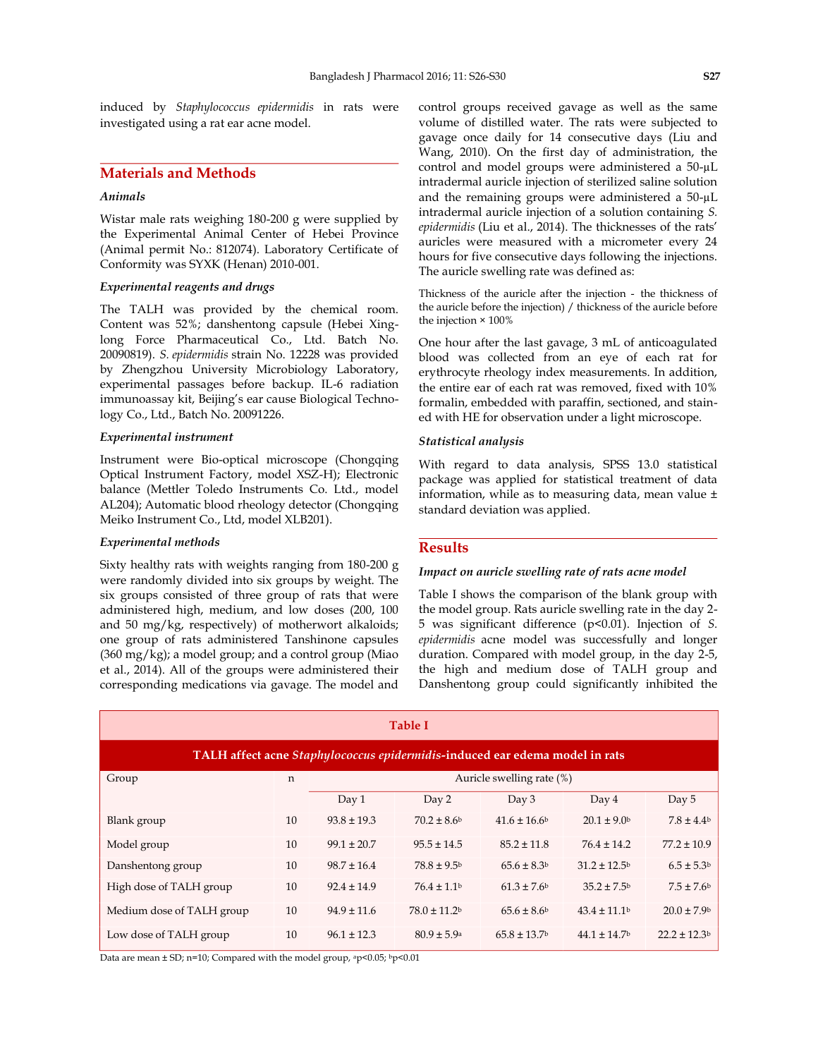induced by *Staphylococcus epidermidis* in rats were investigated using a rat ear acne model.

#### **Materials and Methods**

#### *Animals*

Wistar male rats weighing 180-200 g were supplied by the Experimental Animal Center of Hebei Province (Animal permit No.: 812074). Laboratory Certificate of Conformity was SYXK (Henan) 2010-001.

#### *Experimental reagents and drugs*

The TALH was provided by the chemical room. Content was 52%; danshentong capsule (Hebei Xinglong Force Pharmaceutical Co., Ltd. Batch No. 20090819). *S. epidermidis* strain No. 12228 was provided by Zhengzhou University Microbiology Laboratory, experimental passages before backup. IL-6 radiation immunoassay kit, Beijing's ear cause Biological Technology Co., Ltd., Batch No. 20091226.

#### *Experimental instrument*

Instrument were Bio-optical microscope (Chongqing Optical Instrument Factory, model XSZ-H); Electronic balance (Mettler Toledo Instruments Co. Ltd., model AL204); Automatic blood rheology detector (Chongqing Meiko Instrument Co., Ltd, model XLB201).

#### *Experimental methods*

Sixty healthy rats with weights ranging from 180-200 g were randomly divided into six groups by weight. The six groups consisted of three group of rats that were administered high, medium, and low doses (200, 100 and 50 mg/kg, respectively) of motherwort alkaloids; one group of rats administered Tanshinone capsules (360 mg/kg); a model group; and a control group (Miao et al., 2014). All of the groups were administered their corresponding medications via gavage. The model and control groups received gavage as well as the same volume of distilled water. The rats were subjected to gavage once daily for 14 consecutive days (Liu and Wang, 2010). On the first day of administration, the control and model groups were administered a 50-µL intradermal auricle injection of sterilized saline solution and the remaining groups were administered a 50-µL intradermal auricle injection of a solution containing *S. epidermidis* (Liu et al., 2014). The thicknesses of the rats' auricles were measured with a micrometer every 24 hours for five consecutive days following the injections. The auricle swelling rate was defined as:

Thickness of the auricle after the injection - the thickness of the auricle before the injection) / thickness of the auricle before the injection × 100%

One hour after the last gavage, 3 mL of anticoagulated blood was collected from an eye of each rat for erythrocyte rheology index measurements. In addition, the entire ear of each rat was removed, fixed with 10% formalin, embedded with paraffin, sectioned, and stained with HE for observation under a light microscope.

#### *Statistical analysis*

With regard to data analysis, SPSS 13.0 statistical package was applied for statistical treatment of data information, while as to measuring data, mean value ± standard deviation was applied.

#### **Results**

#### *Impact on auricle swelling rate of rats acne model*

Table I shows the comparison of the blank group with the model group. Rats auricle swelling rate in the day 2- 5 was significant difference (p<0.01). Injection of *S. epidermidis* acne model was successfully and longer duration. Compared with model group, in the day 2-5, the high and medium dose of TALH group and Danshentong group could significantly inhibited the

| <b>Table I</b>                                                              |    |                           |                             |                        |                              |                              |
|-----------------------------------------------------------------------------|----|---------------------------|-----------------------------|------------------------|------------------------------|------------------------------|
| TALH affect acne Staphylococcus epidermidis-induced ear edema model in rats |    |                           |                             |                        |                              |                              |
| Group                                                                       | n  | Auricle swelling rate (%) |                             |                        |                              |                              |
|                                                                             |    | Day 1                     | Day 2                       | Day 3                  | Day 4                        | Day 5                        |
| Blank group                                                                 | 10 | $93.8 \pm 19.3$           | $70.2 \pm 8.6$              | $41.6 \pm 16.6$        | $20.1 \pm 9.0$               | $7.8 \pm 4.4$                |
| Model group                                                                 | 10 | $99.1 \pm 20.7$           | $95.5 \pm 14.5$             | $85.2 \pm 11.8$        | $76.4 \pm 14.2$              | $77.2 \pm 10.9$              |
| Danshentong group                                                           | 10 | $98.7 \pm 16.4$           | $78.8 \pm 9.5^{\circ}$      | $65.6 \pm 8.3b$        | $31.2 \pm 12.5^{\circ}$      | $6.5 \pm 5.3$                |
| High dose of TALH group                                                     | 10 | $92.4 \pm 14.9$           | $76.4 \pm 1.1$ <sup>b</sup> | $61.3 \pm 7.6$         | $35.2 \pm 7.5$ <sup>b</sup>  | $7.5 \pm 7.6$ <sup>b</sup>   |
| Medium dose of TALH group                                                   | 10 | $94.9 \pm 11.6$           | $78.0 \pm 11.2$             | $65.6 \pm 8.6^{\circ}$ | $43.4 \pm 11.1$ <sup>b</sup> | $20.0 \pm 7.9$ <sup>b</sup>  |
| Low dose of TALH group                                                      | 10 | $96.1 \pm 12.3$           | $80.9 \pm 5.9$ <sup>a</sup> | $65.8 \pm 13.7$        | $44.1 \pm 14.7$              | $22.2 \pm 12.3$ <sup>b</sup> |

Data are mean ± SD; n=10; Compared with the model group, <sup>a</sup>p<0.05; <sup>b</sup>p<0.01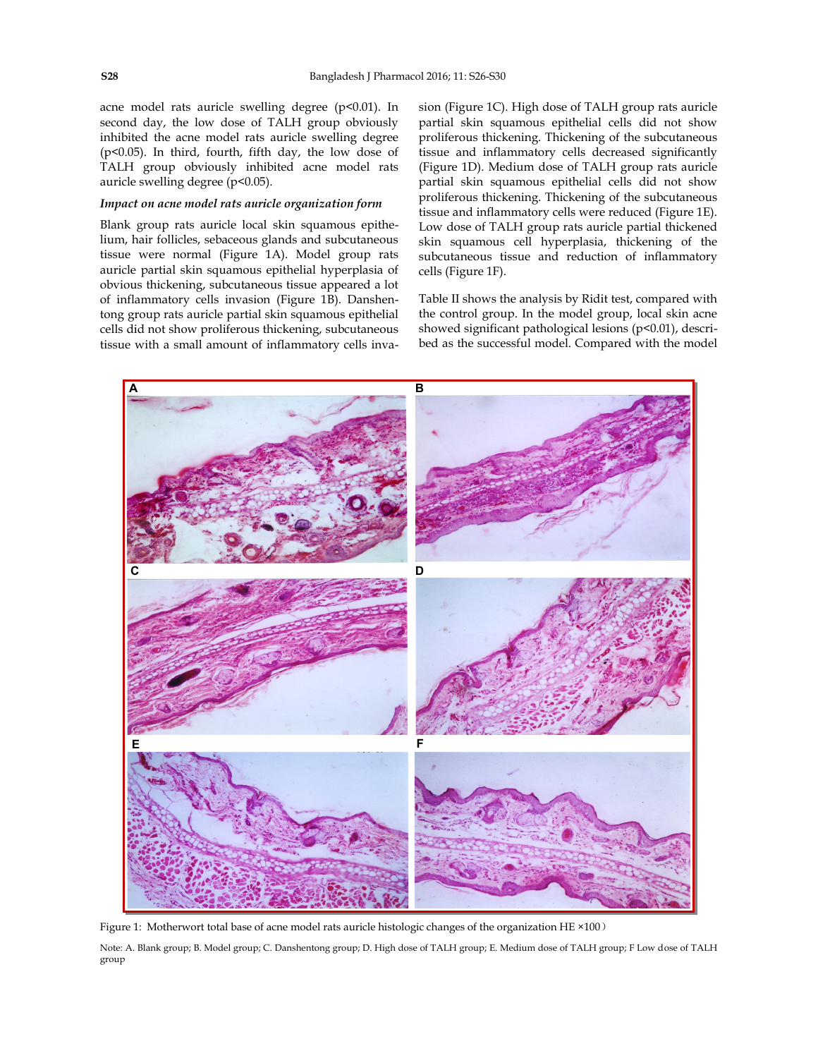acne model rats auricle swelling degree (p<0.01). In second day, the low dose of TALH group obviously inhibited the acne model rats auricle swelling degree (p<0.05). In third, fourth, fifth day, the low dose of TALH group obviously inhibited acne model rats auricle swelling degree (p<0.05).

#### *Impact on acne model rats auricle organization form*

Blank group rats auricle local skin squamous epithelium, hair follicles, sebaceous glands and subcutaneous tissue were normal (Figure 1A). Model group rats auricle partial skin squamous epithelial hyperplasia of obvious thickening, subcutaneous tissue appeared a lot of inflammatory cells invasion (Figure 1B). Danshentong group rats auricle partial skin squamous epithelial cells did not show proliferous thickening, subcutaneous tissue with a small amount of inflammatory cells invasion (Figure 1C). High dose of TALH group rats auricle partial skin squamous epithelial cells did not show proliferous thickening. Thickening of the subcutaneous tissue and inflammatory cells decreased significantly (Figure 1D). Medium dose of TALH group rats auricle partial skin squamous epithelial cells did not show proliferous thickening. Thickening of the subcutaneous tissue and inflammatory cells were reduced (Figure 1E). Low dose of TALH group rats auricle partial thickened skin squamous cell hyperplasia, thickening of the subcutaneous tissue and reduction of inflammatory cells (Figure 1F).

Table II shows the analysis by Ridit test, compared with the control group. In the model group, local skin acne showed significant pathological lesions (p<0.01), described as the successful model. Compared with the model



Figure 1: Motherwort total base of acne model rats auricle histologic changes of the organization HE ×100)

Note: A. Blank group; B. Model group; C. Danshentong group; D. High dose of TALH group; E. Medium dose of TALH group; F Low dose of TALH group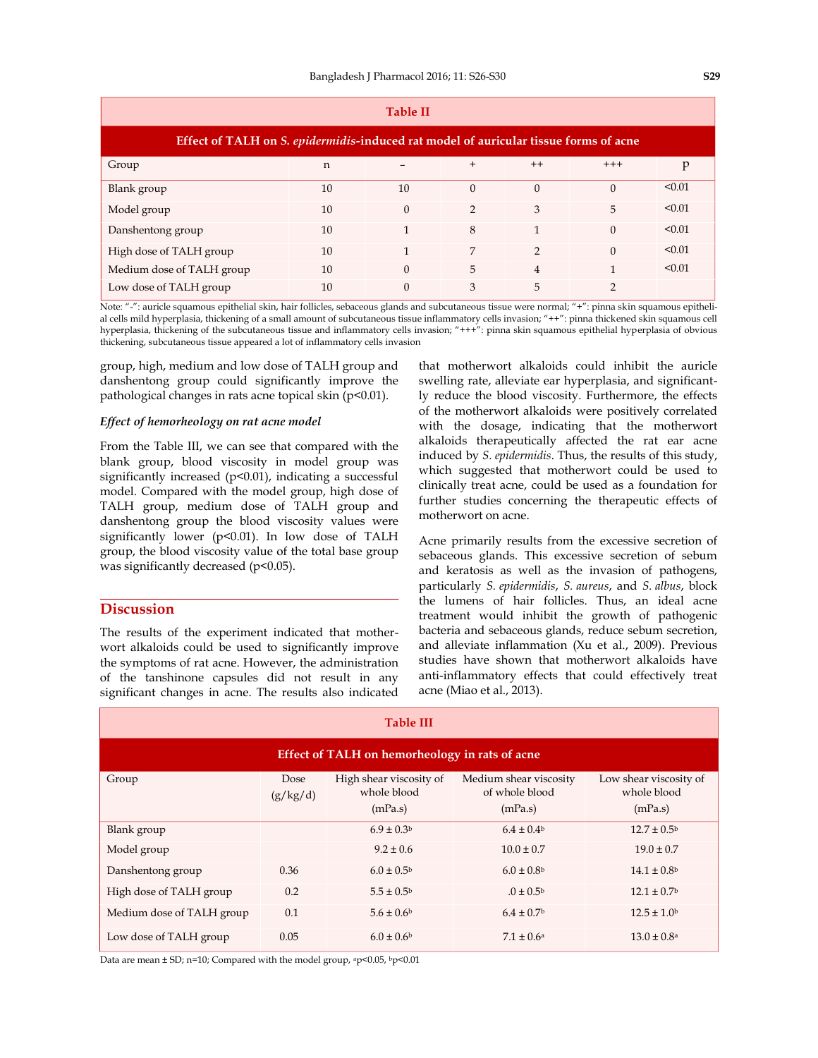| <b>Table II</b>                                                                      |    |              |                |                |               |        |
|--------------------------------------------------------------------------------------|----|--------------|----------------|----------------|---------------|--------|
| Effect of TALH on S. epidermidis-induced rat model of auricular tissue forms of acne |    |              |                |                |               |        |
| Group                                                                                | n  |              | $^{+}$         | $++$           | $+++$         | р      |
| Blank group                                                                          | 10 | 10           | $\theta$       | $\Omega$       | $\theta$      | < 0.01 |
| Model group                                                                          | 10 | $\Omega$     | $\overline{2}$ | 3              | 5             | < 0.01 |
| Danshentong group                                                                    | 10 | 1            | 8              | $\mathbf{1}$   | $\Omega$      | < 0.01 |
| High dose of TALH group                                                              | 10 | $\mathbf{1}$ | 7              | $\mathcal{P}$  | $\Omega$      | < 0.01 |
| Medium dose of TALH group                                                            | 10 | $\Omega$     | 5              | $\overline{4}$ | $\mathbf{1}$  | < 0.01 |
| Low dose of TALH group                                                               | 10 | $\Omega$     | 3              | 5              | $\mathcal{P}$ |        |

Note: "-": auricle squamous epithelial skin, hair follicles, sebaceous glands and subcutaneous tissue were normal; "+": pinna skin squamous epithelial cells mild hyperplasia, thickening of a small amount of subcutaneous tissue inflammatory cells invasion; "++": pinna thickened skin squamous cell hyperplasia, thickening of the subcutaneous tissue and inflammatory cells invasion; "+++": pinna skin squamous epithelial hyperplasia of obvious thickening, subcutaneous tissue appeared a lot of inflammatory cells invasion

group, high, medium and low dose of TALH group and danshentong group could significantly improve the pathological changes in rats acne topical skin (p<0.01).

#### *Effect of hemorheology on rat acne model*

From the Table III, we can see that compared with the blank group, blood viscosity in model group was significantly increased (p<0.01), indicating a successful model. Compared with the model group, high dose of TALH group, medium dose of TALH group and danshentong group the blood viscosity values were significantly lower (p<0.01). In low dose of TALH group, the blood viscosity value of the total base group was significantly decreased (p<0.05).

## **Discussion**

The results of the experiment indicated that motherwort alkaloids could be used to significantly improve the symptoms of rat acne. However, the administration of the tanshinone capsules did not result in any significant changes in acne. The results also indicated

that motherwort alkaloids could inhibit the auricle swelling rate, alleviate ear hyperplasia, and significantly reduce the blood viscosity. Furthermore, the effects of the motherwort alkaloids were positively correlated with the dosage, indicating that the motherwort alkaloids therapeutically affected the rat ear acne induced by *S. epidermidis*. Thus, the results of this study, which suggested that motherwort could be used to clinically treat acne, could be used as a foundation for further studies concerning the therapeutic effects of motherwort on acne.

Acne primarily results from the excessive secretion of sebaceous glands. This excessive secretion of sebum and keratosis as well as the invasion of pathogens, particularly *S. epidermidis*, *S. aureus*, and *S. albus*, block the lumens of hair follicles. Thus, an ideal acne treatment would inhibit the growth of pathogenic bacteria and sebaceous glands, reduce sebum secretion, and alleviate inflammation (Xu et al., 2009). Previous studies have shown that motherwort alkaloids have anti-inflammatory effects that could effectively treat acne (Miao et al., 2013).

| <b>Table III</b>                               |                  |                                                   |                                                     |                                                  |  |  |
|------------------------------------------------|------------------|---------------------------------------------------|-----------------------------------------------------|--------------------------------------------------|--|--|
| Effect of TALH on hemorheology in rats of acne |                  |                                                   |                                                     |                                                  |  |  |
| Group                                          | Dose<br>(g/kg/d) | High shear viscosity of<br>whole blood<br>(mPa.s) | Medium shear viscosity<br>of whole blood<br>(mPa.s) | Low shear viscosity of<br>whole blood<br>(mPa.s) |  |  |
| Blank group                                    |                  | $6.9 \pm 0.3^b$                                   | $6.4 \pm 0.4^{\rm b}$                               | $12.7 \pm 0.5^{\circ}$                           |  |  |
| Model group                                    |                  | $9.2 \pm 0.6$                                     | $10.0 \pm 0.7$                                      | $19.0 \pm 0.7$                                   |  |  |
| Danshentong group                              | 0.36             | $6.0 \pm 0.5^{\rm b}$                             | $6.0 \pm 0.8$                                       | $14.1 \pm 0.8$ <sup>b</sup>                      |  |  |
| High dose of TALH group                        | 0.2              | $5.5 \pm 0.5^{\circ}$                             | $.0 \pm 0.5^{\circ}$                                | $12.1 \pm 0.7$                                   |  |  |
| Medium dose of TALH group                      | 0.1              | $5.6 \pm 0.6$                                     | $6.4 \pm 0.7$                                       | $12.5 \pm 1.0$                                   |  |  |
| Low dose of TALH group                         | 0.05             | $6.0 \pm 0.6$                                     | $7.1 \pm 0.6^{\circ}$                               | $13.0 \pm 0.8a$                                  |  |  |

Data are mean  $\pm$  SD; n=10; Compared with the model group, ap<0.05, bp<0.01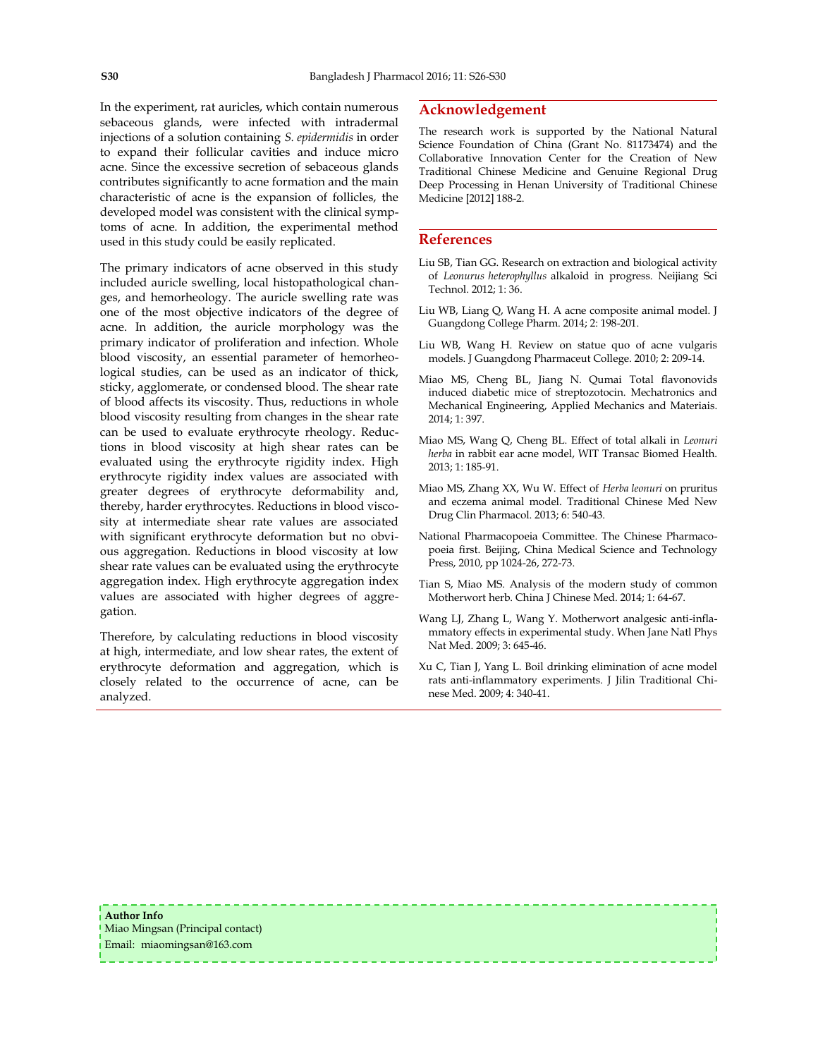In the experiment, rat auricles, which contain numerous sebaceous glands, were infected with intradermal injections of a solution containing *S. epidermidis* in order to expand their follicular cavities and induce micro acne. Since the excessive secretion of sebaceous glands contributes significantly to acne formation and the main characteristic of acne is the expansion of follicles, the developed model was consistent with the clinical symptoms of acne. In addition, the experimental method used in this study could be easily replicated.

The primary indicators of acne observed in this study included auricle swelling, local histopathological changes, and hemorheology. The auricle swelling rate was one of the most objective indicators of the degree of acne. In addition, the auricle morphology was the primary indicator of proliferation and infection. Whole blood viscosity, an essential parameter of hemorheological studies, can be used as an indicator of thick, sticky, agglomerate, or condensed blood. The shear rate of blood affects its viscosity. Thus, reductions in whole blood viscosity resulting from changes in the shear rate can be used to evaluate erythrocyte rheology. Reductions in blood viscosity at high shear rates can be evaluated using the erythrocyte rigidity index. High erythrocyte rigidity index values are associated with greater degrees of erythrocyte deformability and, thereby, harder erythrocytes. Reductions in blood viscosity at intermediate shear rate values are associated with significant erythrocyte deformation but no obvious aggregation. Reductions in blood viscosity at low shear rate values can be evaluated using the erythrocyte aggregation index. High erythrocyte aggregation index values are associated with higher degrees of aggregation.

Therefore, by calculating reductions in blood viscosity at high, intermediate, and low shear rates, the extent of erythrocyte deformation and aggregation, which is closely related to the occurrence of acne, can be analyzed.

#### **Acknowledgement**

The research work is supported by the National Natural Science Foundation of China (Grant No. 81173474) and the Collaborative Innovation Center for the Creation of New Traditional Chinese Medicine and Genuine Regional Drug Deep Processing in Henan University of Traditional Chinese Medicine [2012] 188-2.

#### **References**

- Liu SB, Tian GG. Research on extraction and biological activity of *Leonurus heterophyllus* alkaloid in progress. Neijiang Sci Technol. 2012; 1: 36.
- Liu WB, Liang Q, Wang H. A acne composite animal model. J Guangdong College Pharm. 2014; 2: 198-201.
- Liu WB, Wang H. Review on statue quo of acne vulgaris models. J Guangdong Pharmaceut College. 2010; 2: 209-14.
- Miao MS, Cheng BL, Jiang N. Qumai Total flavonovids induced diabetic mice of streptozotocin. Mechatronics and Mechanical Engineering, Applied Mechanics and Materiais. 2014; 1: 397.
- Miao MS, Wang Q, Cheng BL. Effect of total alkali in *Leonuri herba* in rabbit ear acne model, WIT Transac Biomed Health. 2013; 1: 185-91.
- Miao MS, Zhang XX, Wu W. Effect of *Herba leonuri* on pruritus and eczema animal model. Traditional Chinese Med New Drug Clin Pharmacol. 2013; 6: 540-43.
- National Pharmacopoeia Committee. The Chinese Pharmacopoeia first. Beijing, China Medical Science and Technology Press, 2010, pp 1024-26, 272-73.
- Tian S, Miao MS. Analysis of the modern study of common Motherwort herb. China J Chinese Med. 2014; 1: 64-67.
- Wang LJ, Zhang L, Wang Y. Motherwort analgesic anti-inflammatory effects in experimental study. When Jane Natl Phys Nat Med. 2009; 3: 645-46.
- Xu C, Tian J, Yang L. Boil drinking elimination of acne model rats anti-inflammatory experiments. J Jilin Traditional Chinese Med. 2009; 4: 340-41.

#### **Author Info**

Miao Mingsan (Principal contact) Email: miaomingsan@163.com